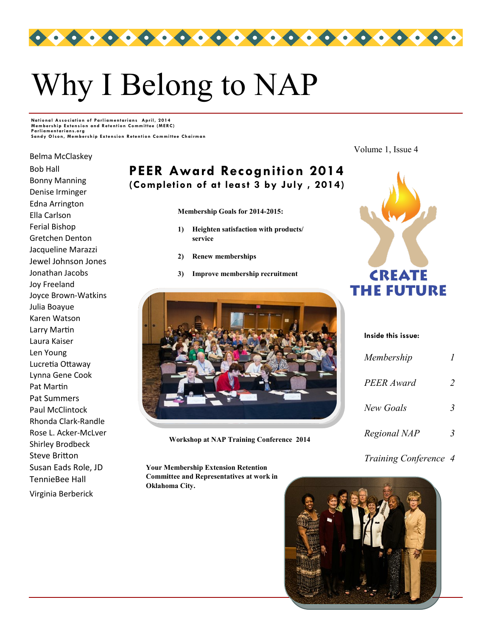

# Why I Belong to NAP

**National Association of Parliamentarians April, 2014**<br>Membership Extension and Retention Committee (MERC) **Parli ament ari ans.or g Sandy Olson, Membership Extension Retention Committee Chairman** 

Belma McClaskey

Bob Hall Bonny Manning Denise Irminger Edna Arrington Ella Carlson Ferial Bishop Gretchen Denton Jacqueline Marazzi Jewel Johnson Jones Jonathan Jacobs Joy Freeland Joyce Brown-Watkins Julia Boayue Karen Watson Larry Martin Laura Kaiser Len Young Lucretia Ottaway Lynna Gene Cook Pat Martin Pat Summers Paul McClintock Rhonda Clark-Randle Rose L. Acker-McLver Shirley Brodbeck Steve Britton Susan Eads Role, JD TennieBee Hall Virginia Berberick

**PEER Award Recognition 2014 (Completion of at least 3 by July , 2014)**

**Membership Goals for 2014-2015:**

- **1) Heighten satisfaction with products/ service**
- **2) Renew memberships**
- **3) Improve membership recruitment**



**Workshop at NAP Training Conference 2014**

**Your Membership Extension Retention Committee and Representatives at work in Oklahoma City.**

Volume 1, Issue 4



*Membership 1 PEER Award 2 New Goals 3*

**Inside this issue:**

*Regional NAP 3*

### *Training Conference 4*

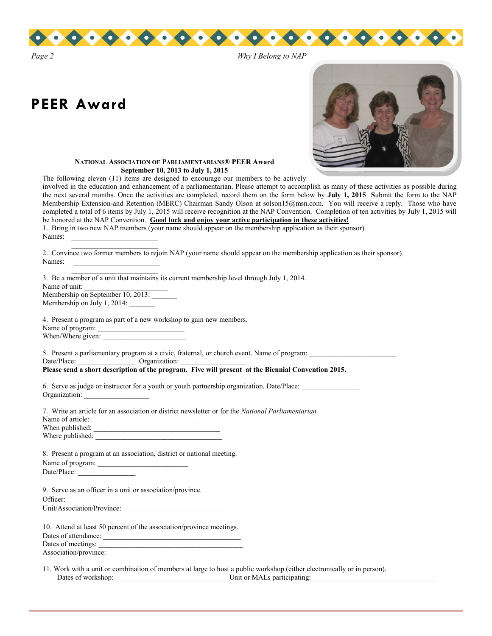

# **PEER Award**



#### **NATIONAL ASSOCIATION OF PARLIAMENTARIANS® PEER Award September 10, 2013 to July 1, 2015**

The following eleven (11) items are designed to encourage our members to be actively

involved in the education and enhancement of a parliamentarian. Please attempt to accomplish as many of these activities as possible during the next several months. Once the activities are completed, record them on the form below by **July 1, 2015 S**ubmit the form to the NAP Membership Extension-and Retention (MERC) Chairman Sandy Olson at solson15@msn.com. You will receive a reply. Those who have completed a total of 6 items by July 1, 2015 will receive recognition at the NAP Convention. Completion of ten activities by July 1, 2015 will be honored at the NAP Convention. **Good luck and enjoy your active participation in these activities!**

|        | 1. Bring in two new NAP members (your name should appear on the membership application as their sponsor). |  |  |  |  |  |
|--------|-----------------------------------------------------------------------------------------------------------|--|--|--|--|--|
| Names: |                                                                                                           |  |  |  |  |  |
|        |                                                                                                           |  |  |  |  |  |

2. Convince two former members to rejoin NAP (your name should appear on the membership application as their sponsor). Names:

3. Be a member of a unit that maintains its current membership level through July 1, 2014. Name of unit: Membership on September 10, 2013: Membership on July 1, 2014:

4. Present a program as part of a new workshop to gain new members.

Name of program: When/Where given:

5. Present a parliamentary program at a civic, fraternal, or church event. Name of program:  $\Box$  Date/Place:  $\Box$  Organization:  $\Box$ Date/Place: \_\_\_\_\_\_\_\_\_\_\_\_\_\_\_\_ Organization: \_\_\_\_\_\_\_\_\_\_\_\_\_\_\_\_\_\_ **Please send a short description of the program. Five will present at the Biennial Convention 2015.**

| 6. Serve as judge or instructor for a youth or youth partnership organization. Date/Place: |  |
|--------------------------------------------------------------------------------------------|--|
| Organization:                                                                              |  |

| 7. Write an article for an association or district newsletter or for the <i>National Parliamentarian</i> . |
|------------------------------------------------------------------------------------------------------------|
| Name of article:                                                                                           |
| When published:                                                                                            |

Where published:

|                  |  |  | 8. Present a program at an association, district or national meeting. |  |
|------------------|--|--|-----------------------------------------------------------------------|--|
| Name of program: |  |  |                                                                       |  |
| Date/Place:      |  |  |                                                                       |  |

9. Serve as an officer in a unit or association/province.

Officer:

Unit/Association/Province:

| 10. Attend at least 50 percent of the association/province meetings. |  |
|----------------------------------------------------------------------|--|
| Dates of attendance:                                                 |  |
| Dates of meetings:                                                   |  |
| Association/province:                                                |  |

11. Work with a unit or combination of members at large to host a public workshop (either electronically or in person). Dates of workshop:\_\_\_\_\_\_\_\_\_\_\_\_\_\_\_\_\_\_\_\_\_\_\_\_\_\_\_\_\_\_\_\_Unit or MALs participating:\_\_\_\_\_\_\_\_\_\_\_\_\_\_\_\_\_\_\_\_\_\_\_\_\_\_\_\_\_\_\_\_\_\_\_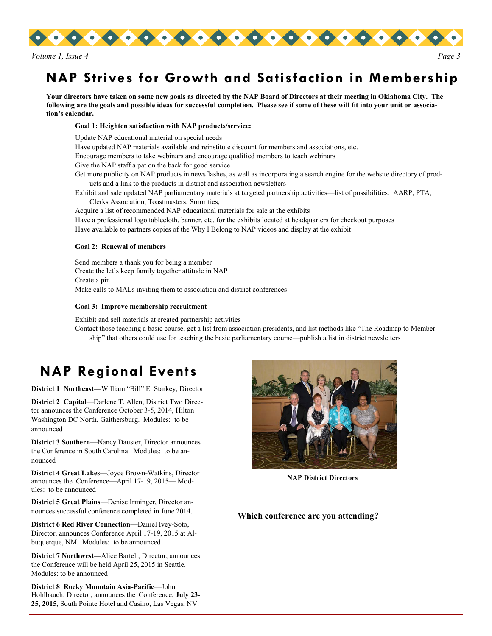

# **NAP Strives for Growth and Satisfaction in Membership**

**Your directors have taken on some new goals as directed by the NAP Board of Directors at their meeting in Oklahoma City. The following are the goals and possible ideas for successful completion. Please see if some of these will fit into your unit or association's calendar.**

#### **Goal 1: Heighten satisfaction with NAP products/service:**

Update NAP educational material on special needs Have updated NAP materials available and reinstitute discount for members and associations, etc. Encourage members to take webinars and encourage qualified members to teach webinars Give the NAP staff a pat on the back for good service Get more publicity on NAP products in newsflashes, as well as incorporating a search engine for the website directory of products and a link to the products in district and association newsletters Exhibit and sale updated NAP parliamentary materials at targeted partnership activities—list of possibilities: AARP, PTA, Clerks Association, Toastmasters, Sororities, Acquire a list of recommended NAP educational materials for sale at the exhibits

Have a professional logo tablecloth, banner, etc. for the exhibits located at headquarters for checkout purposes Have available to partners copies of the Why I Belong to NAP videos and display at the exhibit

#### **Goal 2: Renewal of members**

Send members a thank you for being a member Create the let's keep family together attitude in NAP Create a pin Make calls to MALs inviting them to association and district conferences

#### **Goal 3: Improve membership recruitment**

Exhibit and sell materials at created partnership activities

Contact those teaching a basic course, get a list from association presidents, and list methods like "The Roadmap to Membership" that others could use for teaching the basic parliamentary course—publish a list in district newsletters

## **NAP Regional Events**

**District 1 Northeast—**William "Bill" E. Starkey, Director

**District 2 Capital**—Darlene T. Allen, District Two Director announces the Conference October 3-5, 2014, Hilton Washington DC North, Gaithersburg. Modules: to be announced

**District 3 Southern**—Nancy Dauster, Director announces the Conference in South Carolina. Modules: to be announced

**District 4 Great Lakes**—Joyce Brown-Watkins, Director announces the Conference—April 17-19, 2015— Modules: to be announced

**District 5 Great Plains**—Denise Irminger, Director announces successful conference completed in June 2014.

**District 6 Red River Connection**—Daniel Ivey-Soto, Director, announces Conference April 17-19, 2015 at Albuquerque, NM. Modules: to be announced

**District 7 Northwest—**Alice Bartelt, Director, announces the Conference will be held April 25, 2015 in Seattle. Modules: to be announced

**District 8 Rocky Mountain Asia-Pacific**—John Hohlbauch, Director, announces the Conference, **July 23- 25, 2015,** South Pointe Hotel and Casino, Las Vegas, NV.



**NAP District Directors**

**Which conference are you attending?**